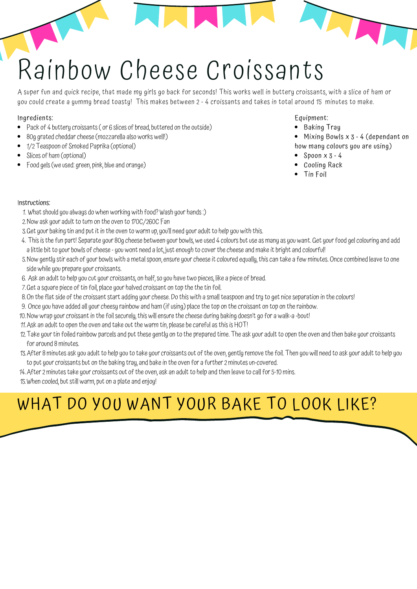# Rainbow Cheese Croissants

A super fun and quick recipe, that made my girls go back for seconds! This works well in buttery croissants, with a slice of ham or you could create a yummy bread toasty! This makes between 2 - 4 croissants and takes in total around 15 minutes to make.

#### Ingredients:

- Pack of 4 buttery croissants ( or 6 slices of bread, buttered on the outside)
- 80g grated cheddar cheese (mozzarella also works well!)
- 1/2 Teaspoon of Smoked Paprika (optional)
- Slices of ham (optional)
- Food gels (we used: green, pink, blue and orange)

#### Equipment:

- Baking Tray
- Mixing Bowls x 3 4 (dependant on how many colours you are using)

THE

- $\bullet$  Spoon  $x$  3 4
- Cooling Rack
- Tin Foil

#### Instructions:

- What should you always do when working with food? Wash your hands :) 1.
- Now ask your adult to turn on the oven to 170C/260C Fan 2.
- 3. Get your baking tin and put it in the oven to warm up, you'll need your adult to help you with this.
- 4. I his is the fun part! Separate your 80g cheese between your bowls, we used 4 colours but use as many as you want. Get your food gel colouring and add a little bit to your bowls of cheese - you wont need a lot, just enough to cover the cheese and make it bright and colourful!
- 5. Now gently stir each of your bowls with a metal spoon, ensure your cheese it coloured equally, this can take a few minutes. Once combined leave to one side while you prepare your croissants.
- Ask an adult to help you cut your croissants, on half, so you have two pieces, like a piece of bread. 6.
- 7. Get a square piece of tin foil, place your halved croissant on top the the tin foil.
- 8.On the flat side of the croissant start adding your cheese. Do this with a small teaspoon and try to get nice separation in the colours!
- 9. Once you have added all your cheesy rainbow and ham (if using) place the top on the croissant on top on the rainbow.
- Now wrap your croissant in the foil securely, this will ensure the cheese during baking doesn't go for a walk-a -bout! 10.
- 11. Ask an adult to open the oven and take out the warm tin, please be careful as this is  $\mathsf{HO}\sqcup$
- 12. I ake your tin foiled rainbow parcels and put these gently on to the prepared time. The ask your adult to open the oven and then bake your croissants for around 8 minutes.
- 13. After 8 minutes ask you adult to help you to take your croissants out of the oven, gently remove the foil. I hen you will need to ask your adult to help you to put your croissants but on the baking tray, and bake in the oven for a further 2 minutes un-covered.
- 14. After 2 minutes take your croissants out of the oven, ask an adult to help and then leave to call for 5-10 mins.
- When cooled, but still warm, put on a plate and enjoy! 15.

### WHAT DO YOU WANT YOUR BAKE TO LOOK LIKE?